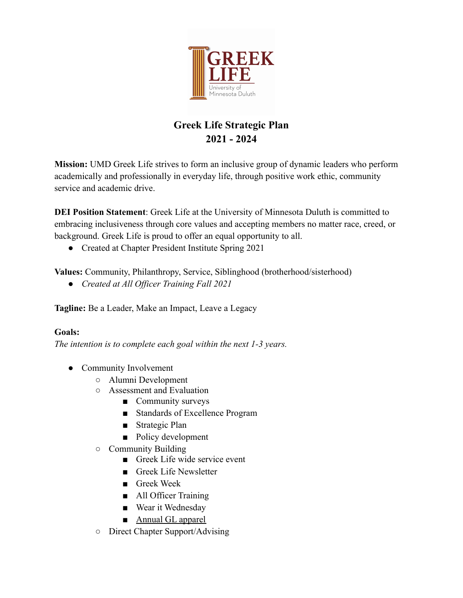

## **Greek Life Strategic Plan 2021 - 2024**

**Mission:** UMD Greek Life strives to form an inclusive group of dynamic leaders who perform academically and professionally in everyday life, through positive work ethic, community service and academic drive.

**DEI Position Statement**: Greek Life at the University of Minnesota Duluth is committed to embracing inclusiveness through core values and accepting members no matter race, creed, or background. Greek Life is proud to offer an equal opportunity to all.

● Created at Chapter President Institute Spring 2021

**Values:** Community, Philanthropy, Service, Siblinghood (brotherhood/sisterhood)

*● Created at All Officer Training Fall 2021*

**Tagline:** Be a Leader, Make an Impact, Leave a Legacy

## **Goals:**

*The intention is to complete each goal within the next 1-3 years.*

- Community Involvement
	- Alumni Development
	- Assessment and Evaluation
		- Community surveys
		- Standards of Excellence Program
		- Strategic Plan
		- Policy development
	- Community Building
		- Greek Life wide service event
		- Greek Life Newsletter
		- Greek Week
		- All Officer Training
		- Wear it Wednesday
		- [Annual GL apparel](https://greeklife2021.itemorder.com/sale)
	- Direct Chapter Support/Advising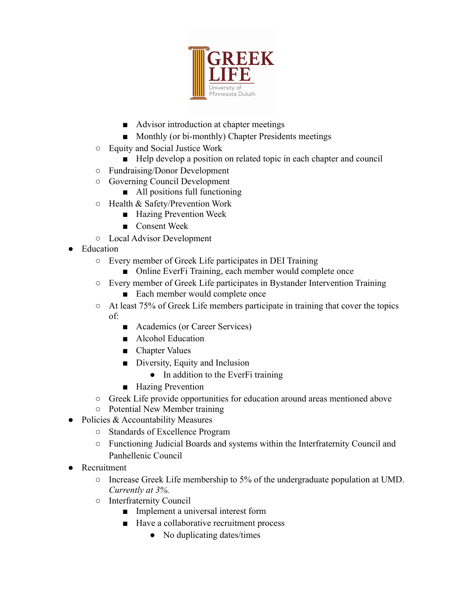

- Advisor introduction at chapter meetings
- Monthly (or bi-monthly) Chapter Presidents meetings
- Equity and Social Justice Work
	- Help develop a position on related topic in each chapter and council
- Fundraising/Donor Development
- Governing Council Development
	- All positions full functioning
- Health & Safety/Prevention Work
	- Hazing Prevention Week
	- Consent Week
- Local Advisor Development
- Education
	- Every member of Greek Life participates in DEI Training
		- Online EverFi Training, each member would complete once
	- Every member of Greek Life participates in Bystander Intervention Training
		- Each member would complete once
	- At least 75% of Greek Life members participate in training that cover the topics of:
		- Academics (or Career Services)
		- Alcohol Education
		- Chapter Values
		- Diversity, Equity and Inclusion
			- In addition to the Ever<sub>Fi</sub> training
		- Hazing Prevention
	- Greek Life provide opportunities for education around areas mentioned above
	- Potential New Member training
- Policies & Accountability Measures
	- Standards of Excellence Program
	- Functioning Judicial Boards and systems within the Interfraternity Council and Panhellenic Council
- Recruitment
	- Increase Greek Life membership to 5% of the undergraduate population at UMD. *Currently at 3%.*
	- Interfraternity Council
		- Implement a universal interest form
		- Have a collaborative recruitment process
			- No duplicating dates/times